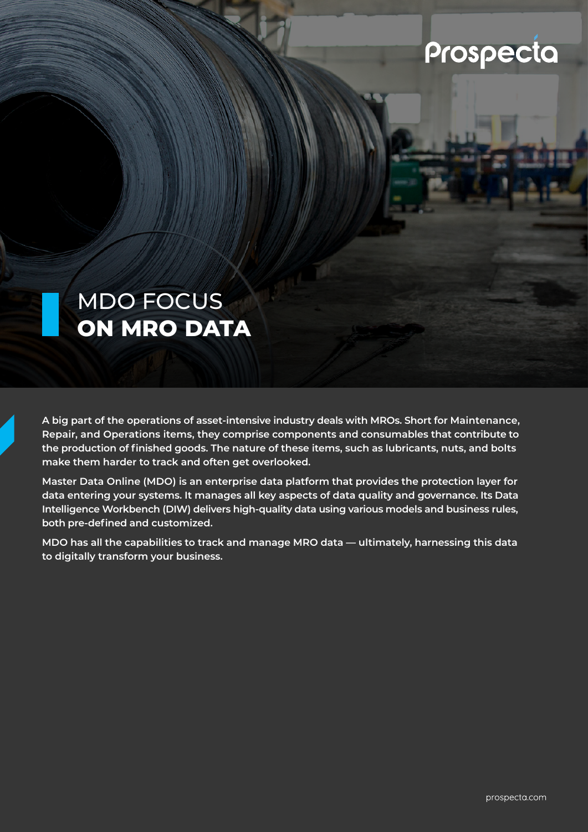### Prospecta

### MDO FOCUS **ON MRO DATA**

**A big part of the operations of asset-intensive industry deals with MROs. Short for Maintenance, Repair, and Operations items, they comprise components and consumables that contribute to the production of finished goods. The nature of these items, such as lubricants, nuts, and bolts make them harder to track and often get overlooked.**

**Master Data Online (MDO) is an enterprise data platform that provides the protection layer for data entering your systems. It manages all key aspects of data quality and governance. Its Data Intelligence Workbench (DIW) delivers high-quality data using various models and business rules, both pre-defined and customized.** 

**MDO has all the capabilities to track and manage MRO data — ultimately, harnessing this data to digitally transform your business.**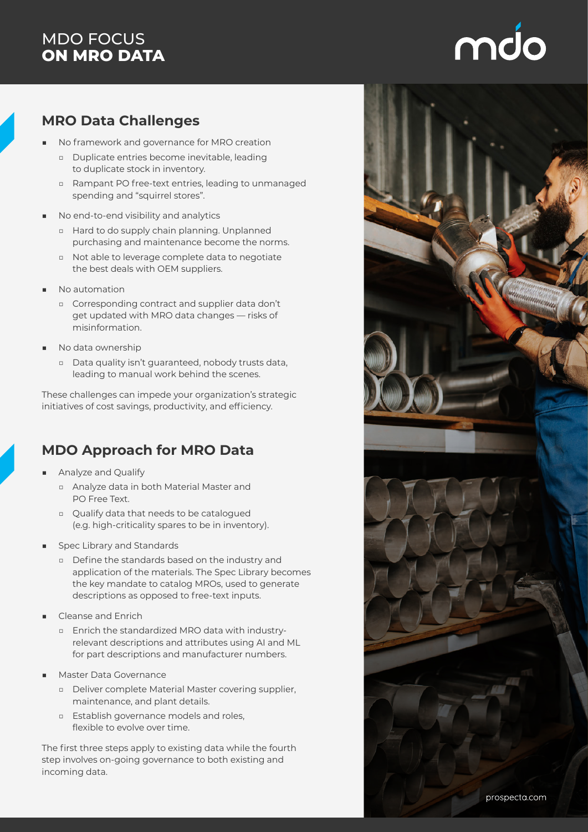#### MDO FOCUS **ON MRO DATA**

# mdo

#### **MRO Data Challenges**

- No framework and governance for MRO creation
	- □ Duplicate entries become inevitable, leading to duplicate stock in inventory.
	- □ Rampant PO free-text entries, leading to unmanaged spending and "squirrel stores".
- No end-to-end visibility and analytics
	- □ Hard to do supply chain planning. Unplanned purchasing and maintenance become the norms.
	- □ Not able to leverage complete data to negotiate the best deals with OEM suppliers.
- No automation
	- □ Corresponding contract and supplier data don't get updated with MRO data changes — risks of misinformation.
- No data ownership
	- □ Data quality isn't guaranteed, nobody trusts data, leading to manual work behind the scenes.

These challenges can impede your organization's strategic initiatives of cost savings, productivity, and efficiency.

#### **MDO Approach for MRO Data**

- Analyze and Qualify
	- □ Analyze data in both Material Master and PO Free Text.
	- □ Qualify data that needs to be catalogued (e.g. high-criticality spares to be in inventory).
- Spec Library and Standards
	- □ Define the standards based on the industry and application of the materials. The Spec Library becomes the key mandate to catalog MROs, used to generate descriptions as opposed to free-text inputs.
- Cleanse and Enrich
	- □ Enrich the standardized MRO data with industryrelevant descriptions and attributes using AI and ML for part descriptions and manufacturer numbers.
- Master Data Governance
	- □ Deliver complete Material Master covering supplier, maintenance, and plant details.
	- □ Establish governance models and roles, flexible to evolve over time.

The first three steps apply to existing data while the fourth step involves on-going governance to both existing and incoming data.